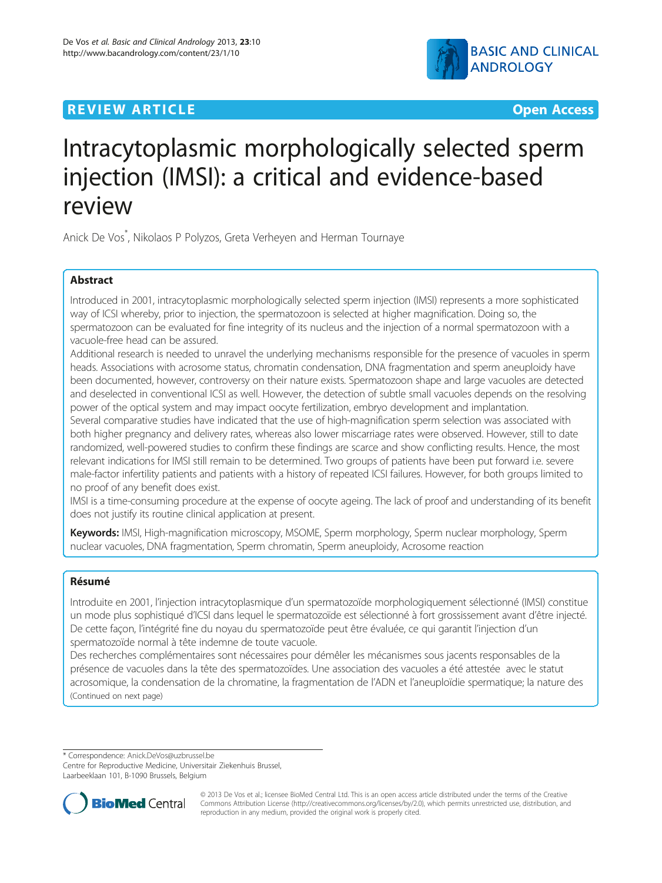## **REVIEW ARTICLE External Structure Contract Contract Contract Contract Contract Contract Contract Contract Contract Contract Contract Contract Contract Contract Contract Contract Contract Contract Contract Contract Contr**



# Intracytoplasmic morphologically selected sperm injection (IMSI): a critical and evidence-based review

Anick De Vos\* , Nikolaos P Polyzos, Greta Verheyen and Herman Tournaye

## Abstract

Introduced in 2001, intracytoplasmic morphologically selected sperm injection (IMSI) represents a more sophisticated way of ICSI whereby, prior to injection, the spermatozoon is selected at higher magnification. Doing so, the spermatozoon can be evaluated for fine integrity of its nucleus and the injection of a normal spermatozoon with a vacuole-free head can be assured.

Additional research is needed to unravel the underlying mechanisms responsible for the presence of vacuoles in sperm heads. Associations with acrosome status, chromatin condensation, DNA fragmentation and sperm aneuploidy have been documented, however, controversy on their nature exists. Spermatozoon shape and large vacuoles are detected and deselected in conventional ICSI as well. However, the detection of subtle small vacuoles depends on the resolving power of the optical system and may impact oocyte fertilization, embryo development and implantation.

Several comparative studies have indicated that the use of high-magnification sperm selection was associated with both higher pregnancy and delivery rates, whereas also lower miscarriage rates were observed. However, still to date randomized, well-powered studies to confirm these findings are scarce and show conflicting results. Hence, the most relevant indications for IMSI still remain to be determined. Two groups of patients have been put forward i.e. severe male-factor infertility patients and patients with a history of repeated ICSI failures. However, for both groups limited to no proof of any benefit does exist.

IMSI is a time-consuming procedure at the expense of oocyte ageing. The lack of proof and understanding of its benefit does not justify its routine clinical application at present.

Keywords: IMSI, High-magnification microscopy, MSOME, Sperm morphology, Sperm nuclear morphology, Sperm nuclear vacuoles, DNA fragmentation, Sperm chromatin, Sperm aneuploidy, Acrosome reaction

## Résumé

Introduite en 2001, l'injection intracytoplasmique d'un spermatozoïde morphologiquement sélectionné (IMSI) constitue un mode plus sophistiqué d'ICSI dans lequel le spermatozoïde est sélectionné à fort grossissement avant d'être injecté. De cette façon, l'intégrité fine du noyau du spermatozoïde peut être évaluée, ce qui garantit l'injection d'un spermatozoïde normal à tête indemne de toute vacuole.

Des recherches complémentaires sont nécessaires pour démêler les mécanismes sous jacents responsables de la présence de vacuoles dans la tête des spermatozoïdes. Une association des vacuoles a été attestée avec le statut acrosomique, la condensation de la chromatine, la fragmentation de l'ADN et l'aneuploïdie spermatique; la nature des (Continued on next page)

\* Correspondence: [Anick.DeVos@uzbrussel.be](mailto:Anick.DeVos@uzbrussel.be)

Centre for Reproductive Medicine, Universitair Ziekenhuis Brussel, Laarbeeklaan 101, B-1090 Brussels, Belgium



© 2013 De Vos et al.; licensee BioMed Central Ltd. This is an open access article distributed under the terms of the Creative Commons Attribution License [\(http://creativecommons.org/licenses/by/2.0\)](http://creativecommons.org/licenses/by/2.0), which permits unrestricted use, distribution, and reproduction in any medium, provided the original work is properly cited.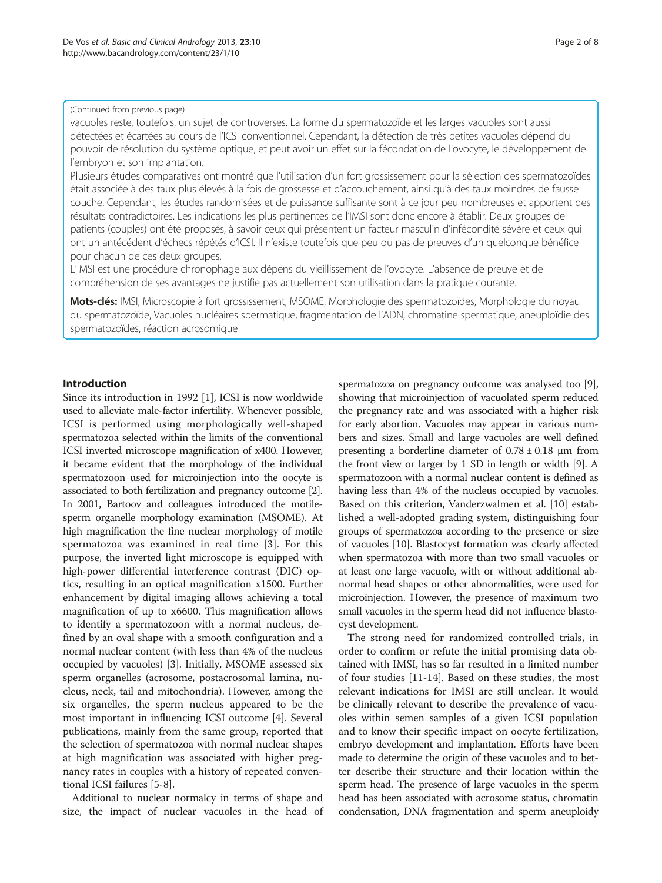#### (Continued from previous page)

vacuoles reste, toutefois, un sujet de controverses. La forme du spermatozoïde et les larges vacuoles sont aussi détectées et écartées au cours de l'ICSI conventionnel. Cependant, la détection de très petites vacuoles dépend du pouvoir de résolution du système optique, et peut avoir un effet sur la fécondation de l'ovocyte, le développement de l'embryon et son implantation.

Plusieurs études comparatives ont montré que l'utilisation d'un fort grossissement pour la sélection des spermatozoïdes était associée à des taux plus élevés à la fois de grossesse et d'accouchement, ainsi qu'à des taux moindres de fausse couche. Cependant, les études randomisées et de puissance suffisante sont à ce jour peu nombreuses et apportent des résultats contradictoires. Les indications les plus pertinentes de l'IMSI sont donc encore à établir. Deux groupes de patients (couples) ont été proposés, à savoir ceux qui présentent un facteur masculin d'infécondité sévère et ceux qui ont un antécédent d'échecs répétés d'ICSI. Il n'existe toutefois que peu ou pas de preuves d'un quelconque bénéfice pour chacun de ces deux groupes.

L'IMSI est une procédure chronophage aux dépens du vieillissement de l'ovocyte. L'absence de preuve et de compréhension de ses avantages ne justifie pas actuellement son utilisation dans la pratique courante.

Mots-clés: IMSI, Microscopie à fort grossissement, MSOME, Morphologie des spermatozoïdes, Morphologie du noyau du spermatozoïde, Vacuoles nucléaires spermatique, fragmentation de l'ADN, chromatine spermatique, aneuploïdie des spermatozoïdes, réaction acrosomique

## Introduction

Since its introduction in 1992 [\[1](#page-6-0)], ICSI is now worldwide used to alleviate male-factor infertility. Whenever possible, ICSI is performed using morphologically well-shaped spermatozoa selected within the limits of the conventional ICSI inverted microscope magnification of x400. However, it became evident that the morphology of the individual spermatozoon used for microinjection into the oocyte is associated to both fertilization and pregnancy outcome [[2](#page-6-0)]. In 2001, Bartoov and colleagues introduced the motilesperm organelle morphology examination (MSOME). At high magnification the fine nuclear morphology of motile spermatozoa was examined in real time [[3\]](#page-6-0). For this purpose, the inverted light microscope is equipped with high-power differential interference contrast (DIC) optics, resulting in an optical magnification x1500. Further enhancement by digital imaging allows achieving a total magnification of up to x6600. This magnification allows to identify a spermatozoon with a normal nucleus, defined by an oval shape with a smooth configuration and a normal nuclear content (with less than 4% of the nucleus occupied by vacuoles) [\[3](#page-6-0)]. Initially, MSOME assessed six sperm organelles (acrosome, postacrosomal lamina, nucleus, neck, tail and mitochondria). However, among the six organelles, the sperm nucleus appeared to be the most important in influencing ICSI outcome [\[4\]](#page-6-0). Several publications, mainly from the same group, reported that the selection of spermatozoa with normal nuclear shapes at high magnification was associated with higher pregnancy rates in couples with a history of repeated conventional ICSI failures [[5-8\]](#page-6-0).

Additional to nuclear normalcy in terms of shape and size, the impact of nuclear vacuoles in the head of spermatozoa on pregnancy outcome was analysed too [[9](#page-6-0)], showing that microinjection of vacuolated sperm reduced the pregnancy rate and was associated with a higher risk for early abortion. Vacuoles may appear in various numbers and sizes. Small and large vacuoles are well defined presenting a borderline diameter of  $0.78 \pm 0.18$  µm from the front view or larger by 1 SD in length or width [\[9](#page-6-0)]. A spermatozoon with a normal nuclear content is defined as having less than 4% of the nucleus occupied by vacuoles. Based on this criterion, Vanderzwalmen et al. [\[10\]](#page-6-0) established a well-adopted grading system, distinguishing four groups of spermatozoa according to the presence or size of vacuoles [\[10\]](#page-6-0). Blastocyst formation was clearly affected when spermatozoa with more than two small vacuoles or at least one large vacuole, with or without additional abnormal head shapes or other abnormalities, were used for microinjection. However, the presence of maximum two small vacuoles in the sperm head did not influence blastocyst development.

The strong need for randomized controlled trials, in order to confirm or refute the initial promising data obtained with IMSI, has so far resulted in a limited number of four studies [[11-14](#page-6-0)]. Based on these studies, the most relevant indications for IMSI are still unclear. It would be clinically relevant to describe the prevalence of vacuoles within semen samples of a given ICSI population and to know their specific impact on oocyte fertilization, embryo development and implantation. Efforts have been made to determine the origin of these vacuoles and to better describe their structure and their location within the sperm head. The presence of large vacuoles in the sperm head has been associated with acrosome status, chromatin condensation, DNA fragmentation and sperm aneuploidy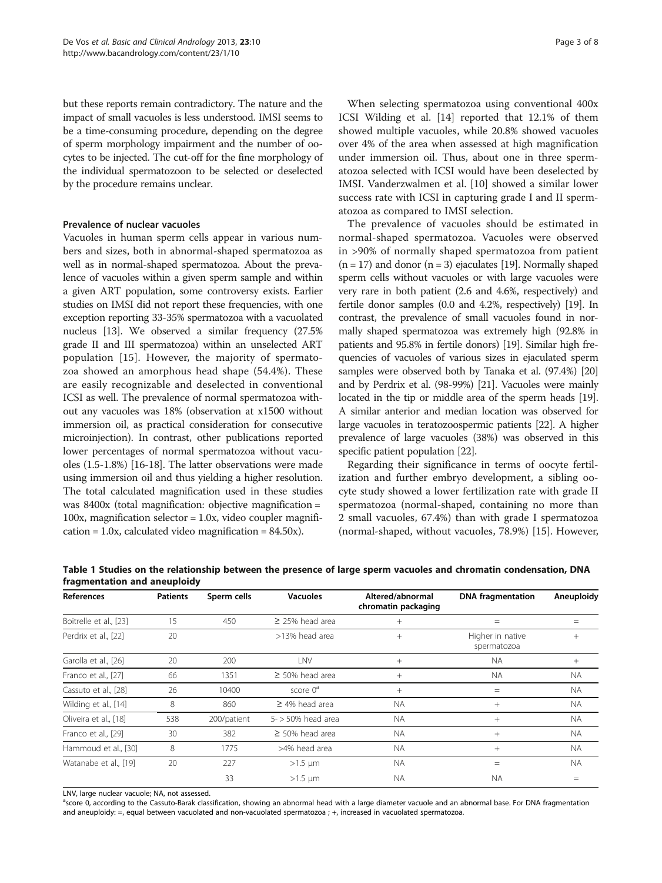<span id="page-2-0"></span>but these reports remain contradictory. The nature and the impact of small vacuoles is less understood. IMSI seems to be a time-consuming procedure, depending on the degree of sperm morphology impairment and the number of oocytes to be injected. The cut-off for the fine morphology of the individual spermatozoon to be selected or deselected by the procedure remains unclear.

#### Prevalence of nuclear vacuoles

Vacuoles in human sperm cells appear in various numbers and sizes, both in abnormal-shaped spermatozoa as well as in normal-shaped spermatozoa. About the prevalence of vacuoles within a given sperm sample and within a given ART population, some controversy exists. Earlier studies on IMSI did not report these frequencies, with one exception reporting 33-35% spermatozoa with a vacuolated nucleus [[13](#page-6-0)]. We observed a similar frequency (27.5% grade II and III spermatozoa) within an unselected ART population [[15\]](#page-6-0). However, the majority of spermatozoa showed an amorphous head shape (54.4%). These are easily recognizable and deselected in conventional ICSI as well. The prevalence of normal spermatozoa without any vacuoles was 18% (observation at x1500 without immersion oil, as practical consideration for consecutive microinjection). In contrast, other publications reported lower percentages of normal spermatozoa without vacuoles (1.5-1.8%) [[16](#page-6-0)-[18](#page-6-0)]. The latter observations were made using immersion oil and thus yielding a higher resolution. The total calculated magnification used in these studies was 8400x (total magnification: objective magnification = 100x, magnification selector = 1.0x, video coupler magnifi $cation = 1.0x$ , calculated video magnification = 84.50x).

When selecting spermatozoa using conventional 400x ICSI Wilding et al. [\[14](#page-6-0)] reported that 12.1% of them showed multiple vacuoles, while 20.8% showed vacuoles over 4% of the area when assessed at high magnification under immersion oil. Thus, about one in three spermatozoa selected with ICSI would have been deselected by IMSI. Vanderzwalmen et al. [\[10](#page-6-0)] showed a similar lower success rate with ICSI in capturing grade I and II spermatozoa as compared to IMSI selection.

The prevalence of vacuoles should be estimated in normal-shaped spermatozoa. Vacuoles were observed in >90% of normally shaped spermatozoa from patient  $(n = 17)$  and donor  $(n = 3)$  ejaculates [[19](#page-6-0)]. Normally shaped sperm cells without vacuoles or with large vacuoles were very rare in both patient (2.6 and 4.6%, respectively) and fertile donor samples (0.0 and 4.2%, respectively) [\[19](#page-6-0)]. In contrast, the prevalence of small vacuoles found in normally shaped spermatozoa was extremely high (92.8% in patients and 95.8% in fertile donors) [[19](#page-6-0)]. Similar high frequencies of vacuoles of various sizes in ejaculated sperm samples were observed both by Tanaka et al. (97.4%) [\[20](#page-6-0)] and by Perdrix et al. (98-99%) [\[21](#page-6-0)]. Vacuoles were mainly located in the tip or middle area of the sperm heads [\[19](#page-6-0)]. A similar anterior and median location was observed for large vacuoles in teratozoospermic patients [\[22](#page-6-0)]. A higher prevalence of large vacuoles (38%) was observed in this specific patient population [[22](#page-6-0)].

Regarding their significance in terms of oocyte fertilization and further embryo development, a sibling oocyte study showed a lower fertilization rate with grade II spermatozoa (normal-shaped, containing no more than 2 small vacuoles, 67.4%) than with grade I spermatozoa (normal-shaped, without vacuoles, 78.9%) [\[15](#page-6-0)]. However,

| <b>References</b>      | <b>Patients</b> | Sperm cells | <b>Vacuoles</b>       | Altered/abnormal<br>chromatin packaging | <b>DNA</b> fragmentation        | Aneuploidy |
|------------------------|-----------------|-------------|-----------------------|-----------------------------------------|---------------------------------|------------|
| Boitrelle et al., [23] | 15              | 450         | $\geq$ 25% head area  | $^{+}$                                  | $=$                             | $=$        |
| Perdrix et al., [22]   | 20              |             | >13% head area        | $^{+}$                                  | Higher in native<br>spermatozoa | $^{+}$     |
| Garolla et al., [26]   | 20              | 200         | LNV                   | $^{+}$                                  | <b>NA</b>                       | $^{+}$     |
| Franco et al., [27]    | 66              | 1351        | $\geq$ 50% head area  | $^{+}$                                  | <b>NA</b>                       | <b>NA</b>  |
| Cassuto et al., [28]   | 26              | 10400       | score $0^a$           | $^{+}$                                  | $=$                             | <b>NA</b>  |
| Wilding et al., [14]   | 8               | 860         | $\geq$ 4% head area   | <b>NA</b>                               | $^{+}$                          | <b>NA</b>  |
| Oliveira et al., [18]  | 538             | 200/patient | $5 -$ > 50% head area | <b>NA</b>                               | $^{+}$                          | <b>NA</b>  |
| Franco et al., [29]    | 30              | 382         | $\geq$ 50% head area  | <b>NA</b>                               | $^{+}$                          | <b>NA</b>  |
| Hammoud et al., [30]   | 8               | 1775        | >4% head area         | <b>NA</b>                               | $+$                             | <b>NA</b>  |
| Watanabe et al., [19]  | 20              | 227         | $>1.5 \mu m$          | <b>NA</b>                               | $=$                             | <b>NA</b>  |
|                        |                 | 33          | $>1.5$ µm             | <b>NA</b>                               | <b>NA</b>                       |            |

Table 1 Studies on the relationship between the presence of large sperm vacuoles and chromatin condensation, DNA fragmentation and aneuploidy

LNV, large nuclear vacuole; NA, not assessed.

<sup>a</sup>score 0, according to the Cassuto-Barak classification, showing an abnormal head with a large diameter vacuole and an abnormal base. For DNA fragmentation and aneuploidy:  $=$ , equal between vacuolated and non-vacuolated spermatozoa ; +, increased in vacuolated spermatozoa.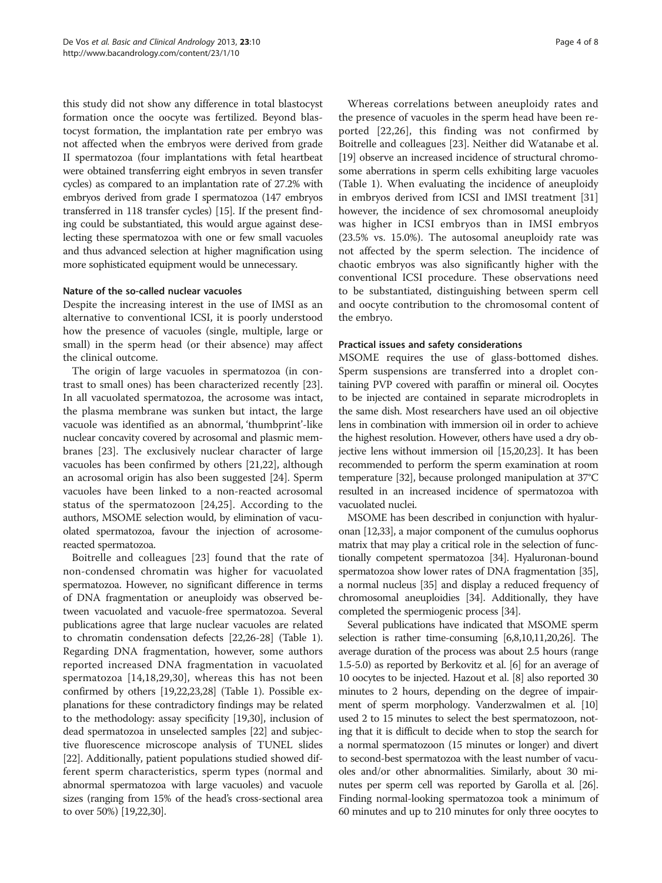this study did not show any difference in total blastocyst formation once the oocyte was fertilized. Beyond blastocyst formation, the implantation rate per embryo was not affected when the embryos were derived from grade II spermatozoa (four implantations with fetal heartbeat were obtained transferring eight embryos in seven transfer cycles) as compared to an implantation rate of 27.2% with embryos derived from grade I spermatozoa (147 embryos transferred in 118 transfer cycles) [[15](#page-6-0)]. If the present finding could be substantiated, this would argue against deselecting these spermatozoa with one or few small vacuoles and thus advanced selection at higher magnification using more sophisticated equipment would be unnecessary.

#### Nature of the so-called nuclear vacuoles

Despite the increasing interest in the use of IMSI as an alternative to conventional ICSI, it is poorly understood how the presence of vacuoles (single, multiple, large or small) in the sperm head (or their absence) may affect the clinical outcome.

The origin of large vacuoles in spermatozoa (in contrast to small ones) has been characterized recently [\[23](#page-6-0)]. In all vacuolated spermatozoa, the acrosome was intact, the plasma membrane was sunken but intact, the large vacuole was identified as an abnormal, 'thumbprint'-like nuclear concavity covered by acrosomal and plasmic membranes [\[23](#page-6-0)]. The exclusively nuclear character of large vacuoles has been confirmed by others [\[21,22\]](#page-6-0), although an acrosomal origin has also been suggested [[24\]](#page-6-0). Sperm vacuoles have been linked to a non-reacted acrosomal status of the spermatozoon [[24,25](#page-6-0)]. According to the authors, MSOME selection would, by elimination of vacuolated spermatozoa, favour the injection of acrosomereacted spermatozoa.

Boitrelle and colleagues [[23\]](#page-6-0) found that the rate of non-condensed chromatin was higher for vacuolated spermatozoa. However, no significant difference in terms of DNA fragmentation or aneuploidy was observed between vacuolated and vacuole-free spermatozoa. Several publications agree that large nuclear vacuoles are related to chromatin condensation defects [\[22,26](#page-6-0)-[28](#page-6-0)] (Table [1](#page-2-0)). Regarding DNA fragmentation, however, some authors reported increased DNA fragmentation in vacuolated spermatozoa [[14,18](#page-6-0),[29,30](#page-6-0)], whereas this has not been confirmed by others [\[19,22,23,28\]](#page-6-0) (Table [1\)](#page-2-0). Possible explanations for these contradictory findings may be related to the methodology: assay specificity [[19,30\]](#page-6-0), inclusion of dead spermatozoa in unselected samples [[22](#page-6-0)] and subjective fluorescence microscope analysis of TUNEL slides [[22](#page-6-0)]. Additionally, patient populations studied showed different sperm characteristics, sperm types (normal and abnormal spermatozoa with large vacuoles) and vacuole sizes (ranging from 15% of the head's cross-sectional area to over 50%) [\[19,22,30\]](#page-6-0).

Whereas correlations between aneuploidy rates and the presence of vacuoles in the sperm head have been reported [\[22,26](#page-6-0)], this finding was not confirmed by Boitrelle and colleagues [\[23](#page-6-0)]. Neither did Watanabe et al. [[19](#page-6-0)] observe an increased incidence of structural chromosome aberrations in sperm cells exhibiting large vacuoles (Table [1\)](#page-2-0). When evaluating the incidence of aneuploidy in embryos derived from ICSI and IMSI treatment [[31](#page-7-0)] however, the incidence of sex chromosomal aneuploidy was higher in ICSI embryos than in IMSI embryos (23.5% vs. 15.0%). The autosomal aneuploidy rate was not affected by the sperm selection. The incidence of chaotic embryos was also significantly higher with the conventional ICSI procedure. These observations need to be substantiated, distinguishing between sperm cell and oocyte contribution to the chromosomal content of the embryo.

### Practical issues and safety considerations

MSOME requires the use of glass-bottomed dishes. Sperm suspensions are transferred into a droplet containing PVP covered with paraffin or mineral oil. Oocytes to be injected are contained in separate microdroplets in the same dish. Most researchers have used an oil objective lens in combination with immersion oil in order to achieve the highest resolution. However, others have used a dry objective lens without immersion oil [\[15,20,23](#page-6-0)]. It has been recommended to perform the sperm examination at room temperature [\[32\]](#page-7-0), because prolonged manipulation at 37°C resulted in an increased incidence of spermatozoa with vacuolated nuclei.

MSOME has been described in conjunction with hyaluronan [\[12,](#page-6-0)[33](#page-7-0)], a major component of the cumulus oophorus matrix that may play a critical role in the selection of functionally competent spermatozoa [\[34\]](#page-7-0). Hyaluronan-bound spermatozoa show lower rates of DNA fragmentation [\[35](#page-7-0)], a normal nucleus [\[35\]](#page-7-0) and display a reduced frequency of chromosomal aneuploidies [\[34\]](#page-7-0). Additionally, they have completed the spermiogenic process [\[34\]](#page-7-0).

Several publications have indicated that MSOME sperm selection is rather time-consuming [[6,8,10,11,20,26\]](#page-6-0). The average duration of the process was about 2.5 hours (range 1.5-5.0) as reported by Berkovitz et al. [\[6](#page-6-0)] for an average of 10 oocytes to be injected. Hazout et al. [\[8\]](#page-6-0) also reported 30 minutes to 2 hours, depending on the degree of impairment of sperm morphology. Vanderzwalmen et al. [\[10](#page-6-0)] used 2 to 15 minutes to select the best spermatozoon, noting that it is difficult to decide when to stop the search for a normal spermatozoon (15 minutes or longer) and divert to second-best spermatozoa with the least number of vacuoles and/or other abnormalities. Similarly, about 30 minutes per sperm cell was reported by Garolla et al. [\[26](#page-6-0)]. Finding normal-looking spermatozoa took a minimum of 60 minutes and up to 210 minutes for only three oocytes to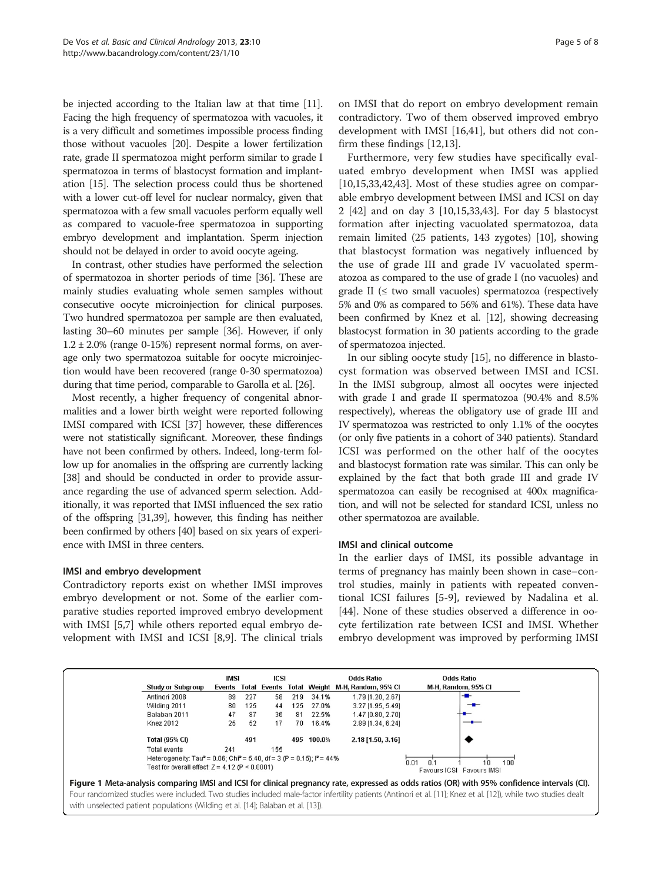<span id="page-4-0"></span>be injected according to the Italian law at that time [\[11](#page-6-0)]. Facing the high frequency of spermatozoa with vacuoles, it is a very difficult and sometimes impossible process finding those without vacuoles [[20](#page-6-0)]. Despite a lower fertilization rate, grade II spermatozoa might perform similar to grade I spermatozoa in terms of blastocyst formation and implantation [\[15\]](#page-6-0). The selection process could thus be shortened with a lower cut-off level for nuclear normalcy, given that spermatozoa with a few small vacuoles perform equally well as compared to vacuole-free spermatozoa in supporting embryo development and implantation. Sperm injection should not be delayed in order to avoid oocyte ageing.

In contrast, other studies have performed the selection of spermatozoa in shorter periods of time [\[36](#page-7-0)]. These are mainly studies evaluating whole semen samples without consecutive oocyte microinjection for clinical purposes. Two hundred spermatozoa per sample are then evaluated, lasting 30–60 minutes per sample [\[36\]](#page-7-0). However, if only  $1.2 \pm 2.0\%$  (range 0-15%) represent normal forms, on average only two spermatozoa suitable for oocyte microinjection would have been recovered (range 0-30 spermatozoa) during that time period, comparable to Garolla et al. [[26](#page-6-0)].

Most recently, a higher frequency of congenital abnormalities and a lower birth weight were reported following IMSI compared with ICSI [\[37\]](#page-7-0) however, these differences were not statistically significant. Moreover, these findings have not been confirmed by others. Indeed, long-term follow up for anomalies in the offspring are currently lacking [[38](#page-7-0)] and should be conducted in order to provide assurance regarding the use of advanced sperm selection. Additionally, it was reported that IMSI influenced the sex ratio of the offspring [[31,39\]](#page-7-0), however, this finding has neither been confirmed by others [\[40\]](#page-7-0) based on six years of experience with IMSI in three centers.

## IMSI and embryo development

Contradictory reports exist on whether IMSI improves embryo development or not. Some of the earlier comparative studies reported improved embryo development with IMSI [[5,7\]](#page-6-0) while others reported equal embryo development with IMSI and ICSI [\[8](#page-6-0),[9](#page-6-0)]. The clinical trials

Furthermore, very few studies have specifically evaluated embryo development when IMSI was applied [[10,15,](#page-6-0)[33,42](#page-7-0),[43](#page-7-0)]. Most of these studies agree on comparable embryo development between IMSI and ICSI on day 2 [[42\]](#page-7-0) and on day 3 [\[10,15](#page-6-0)[,33,43\]](#page-7-0). For day 5 blastocyst formation after injecting vacuolated spermatozoa, data remain limited (25 patients, 143 zygotes) [[10](#page-6-0)], showing that blastocyst formation was negatively influenced by the use of grade III and grade IV vacuolated spermatozoa as compared to the use of grade I (no vacuoles) and grade II ( $\leq$  two small vacuoles) spermatozoa (respectively 5% and 0% as compared to 56% and 61%). These data have been confirmed by Knez et al. [\[12\]](#page-6-0), showing decreasing blastocyst formation in 30 patients according to the grade of spermatozoa injected.

In our sibling oocyte study [\[15\]](#page-6-0), no difference in blastocyst formation was observed between IMSI and ICSI. In the IMSI subgroup, almost all oocytes were injected with grade I and grade II spermatozoa (90.4% and 8.5% respectively), whereas the obligatory use of grade III and IV spermatozoa was restricted to only 1.1% of the oocytes (or only five patients in a cohort of 340 patients). Standard ICSI was performed on the other half of the oocytes and blastocyst formation rate was similar. This can only be explained by the fact that both grade III and grade IV spermatozoa can easily be recognised at 400x magnification, and will not be selected for standard ICSI, unless no other spermatozoa are available.

## IMSI and clinical outcome

In the earlier days of IMSI, its possible advantage in terms of pregnancy has mainly been shown in case–control studies, mainly in patients with repeated conventional ICSI failures [[5-9](#page-6-0)], reviewed by Nadalina et al. [[44\]](#page-7-0). None of these studies observed a difference in oocyte fertilization rate between ICSI and IMSI. Whether embryo development was improved by performing IMSI

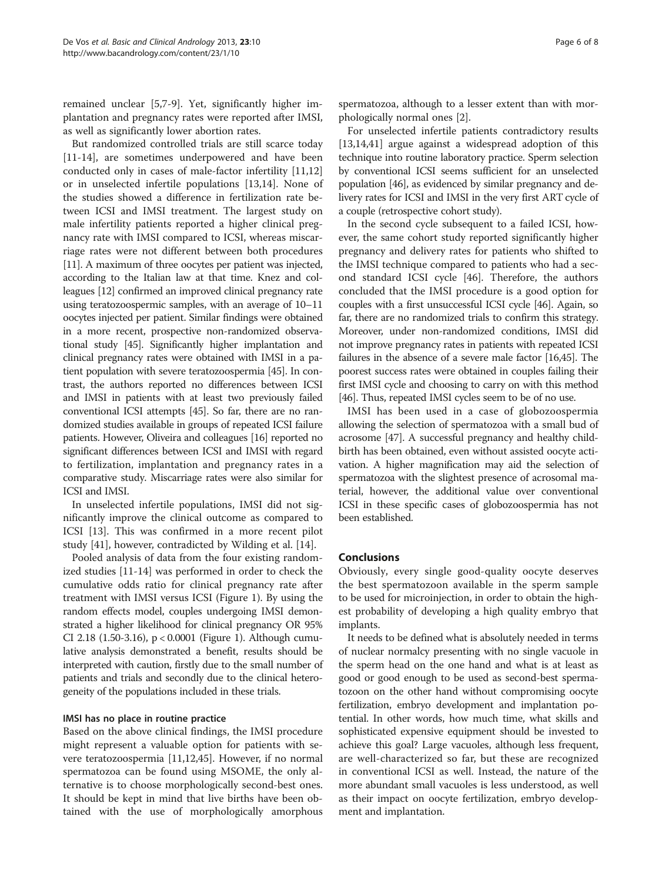remained unclear [[5,7-9](#page-6-0)]. Yet, significantly higher implantation and pregnancy rates were reported after IMSI, as well as significantly lower abortion rates.

But randomized controlled trials are still scarce today [[11-14](#page-6-0)], are sometimes underpowered and have been conducted only in cases of male-factor infertility [[11](#page-6-0),[12](#page-6-0)] or in unselected infertile populations [\[13,14](#page-6-0)]. None of the studies showed a difference in fertilization rate between ICSI and IMSI treatment. The largest study on male infertility patients reported a higher clinical pregnancy rate with IMSI compared to ICSI, whereas miscarriage rates were not different between both procedures [[11](#page-6-0)]. A maximum of three oocytes per patient was injected, according to the Italian law at that time. Knez and colleagues [\[12](#page-6-0)] confirmed an improved clinical pregnancy rate using teratozoospermic samples, with an average of 10–11 oocytes injected per patient. Similar findings were obtained in a more recent, prospective non-randomized observational study [[45](#page-7-0)]. Significantly higher implantation and clinical pregnancy rates were obtained with IMSI in a patient population with severe teratozoospermia [\[45\]](#page-7-0). In contrast, the authors reported no differences between ICSI and IMSI in patients with at least two previously failed conventional ICSI attempts [\[45\]](#page-7-0). So far, there are no randomized studies available in groups of repeated ICSI failure patients. However, Oliveira and colleagues [[16](#page-6-0)] reported no significant differences between ICSI and IMSI with regard to fertilization, implantation and pregnancy rates in a comparative study. Miscarriage rates were also similar for ICSI and IMSI.

In unselected infertile populations, IMSI did not significantly improve the clinical outcome as compared to ICSI [[13\]](#page-6-0). This was confirmed in a more recent pilot study [[41\]](#page-7-0), however, contradicted by Wilding et al. [[14](#page-6-0)].

Pooled analysis of data from the four existing randomized studies [[11](#page-6-0)-[14\]](#page-6-0) was performed in order to check the cumulative odds ratio for clinical pregnancy rate after treatment with IMSI versus ICSI (Figure [1](#page-4-0)). By using the random effects model, couples undergoing IMSI demonstrated a higher likelihood for clinical pregnancy OR 95% CI 2.18 (1.50-3.16), p < 0.0001 (Figure [1\)](#page-4-0). Although cumulative analysis demonstrated a benefit, results should be interpreted with caution, firstly due to the small number of patients and trials and secondly due to the clinical heterogeneity of the populations included in these trials.

## IMSI has no place in routine practice

Based on the above clinical findings, the IMSI procedure might represent a valuable option for patients with severe teratozoospermia [\[11,12](#page-6-0)[,45](#page-7-0)]. However, if no normal spermatozoa can be found using MSOME, the only alternative is to choose morphologically second-best ones. It should be kept in mind that live births have been obtained with the use of morphologically amorphous spermatozoa, although to a lesser extent than with morphologically normal ones [[2\]](#page-6-0).

For unselected infertile patients contradictory results [[13,14,](#page-6-0)[41\]](#page-7-0) argue against a widespread adoption of this technique into routine laboratory practice. Sperm selection by conventional ICSI seems sufficient for an unselected population [\[46\]](#page-7-0), as evidenced by similar pregnancy and delivery rates for ICSI and IMSI in the very first ART cycle of a couple (retrospective cohort study).

In the second cycle subsequent to a failed ICSI, however, the same cohort study reported significantly higher pregnancy and delivery rates for patients who shifted to the IMSI technique compared to patients who had a second standard ICSI cycle [\[46\]](#page-7-0). Therefore, the authors concluded that the IMSI procedure is a good option for couples with a first unsuccessful ICSI cycle [[46](#page-7-0)]. Again, so far, there are no randomized trials to confirm this strategy. Moreover, under non-randomized conditions, IMSI did not improve pregnancy rates in patients with repeated ICSI failures in the absence of a severe male factor [[16](#page-6-0)[,45\]](#page-7-0). The poorest success rates were obtained in couples failing their first IMSI cycle and choosing to carry on with this method [[46](#page-7-0)]. Thus, repeated IMSI cycles seem to be of no use.

IMSI has been used in a case of globozoospermia allowing the selection of spermatozoa with a small bud of acrosome [\[47](#page-7-0)]. A successful pregnancy and healthy childbirth has been obtained, even without assisted oocyte activation. A higher magnification may aid the selection of spermatozoa with the slightest presence of acrosomal material, however, the additional value over conventional ICSI in these specific cases of globozoospermia has not been established.

## Conclusions

Obviously, every single good-quality oocyte deserves the best spermatozoon available in the sperm sample to be used for microinjection, in order to obtain the highest probability of developing a high quality embryo that implants.

It needs to be defined what is absolutely needed in terms of nuclear normalcy presenting with no single vacuole in the sperm head on the one hand and what is at least as good or good enough to be used as second-best spermatozoon on the other hand without compromising oocyte fertilization, embryo development and implantation potential. In other words, how much time, what skills and sophisticated expensive equipment should be invested to achieve this goal? Large vacuoles, although less frequent, are well-characterized so far, but these are recognized in conventional ICSI as well. Instead, the nature of the more abundant small vacuoles is less understood, as well as their impact on oocyte fertilization, embryo development and implantation.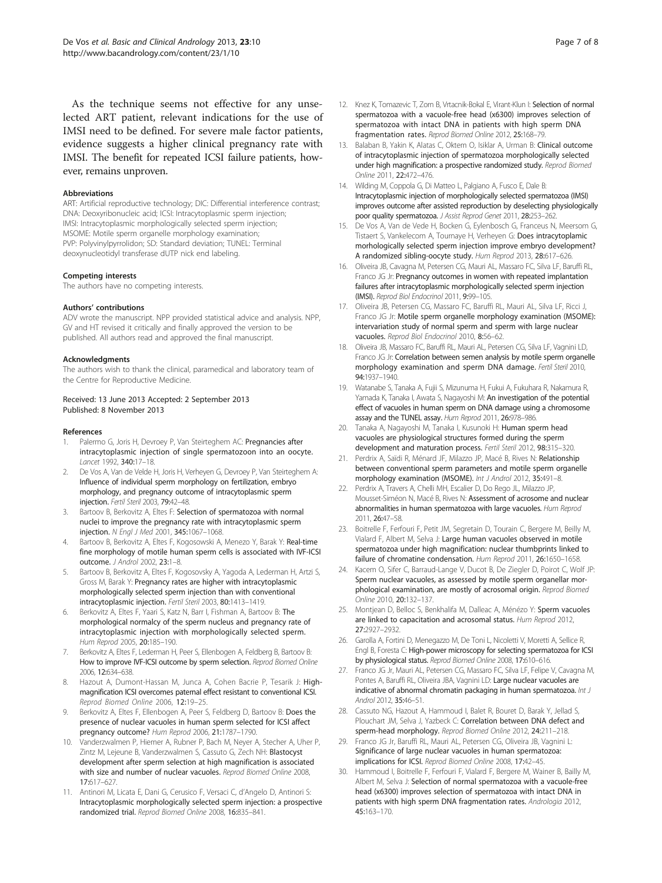<span id="page-6-0"></span>As the technique seems not effective for any unselected ART patient, relevant indications for the use of IMSI need to be defined. For severe male factor patients, evidence suggests a higher clinical pregnancy rate with IMSI. The benefit for repeated ICSI failure patients, however, remains unproven.

#### Abbreviations

ART: Artificial reproductive technology; DIC: Differential interference contrast; DNA: Deoxyribonucleic acid; ICSI: Intracytoplasmic sperm injection; IMSI: Intracytoplasmic morphologically selected sperm injection; MSOME: Motile sperm organelle morphology examination; PVP: Polyvinylpyrrolidon; SD: Standard deviation; TUNEL: Terminal deoxynucleotidyl transferase dUTP nick end labeling.

#### Competing interests

The authors have no competing interests.

#### Authors' contributions

ADV wrote the manuscript. NPP provided statistical advice and analysis. NPP, GV and HT revised it critically and finally approved the version to be published. All authors read and approved the final manuscript.

#### Acknowledgments

The authors wish to thank the clinical, paramedical and laboratory team of the Centre for Reproductive Medicine.

#### Received: 13 June 2013 Accepted: 2 September 2013 Published: 8 November 2013

#### References

- 1. Palermo G, Joris H, Devroey P, Van Steirteghem AC: Pregnancies after intracytoplasmic injection of single spermatozoon into an oocyte. Lancet 1992, 340:17–18.
- 2. De Vos A, Van de Velde H, Joris H, Verheyen G, Devroey P, Van Steirteghem A: Influence of individual sperm morphology on fertilization, embryo morphology, and pregnancy outcome of intracytoplasmic sperm injection. Fertil Steril 2003, 79:42–48.
- 3. Bartoov B, Berkovitz A, Eltes F: Selection of spermatozoa with normal nuclei to improve the pregnancy rate with intracytoplasmic sperm injection. N Engl J Med 2001, 345:1067–1068.
- 4. Bartoov B, Berkovitz A, Eltes F, Kogosowski A, Menezo Y, Barak Y: Real-time fine morphology of motile human sperm cells is associated with IVF-ICSI outcome. J Androl 2002, 23:1–8.
- Bartoov B, Berkovitz A, Eltes F, Kogosovsky A, Yagoda A, Lederman H, Artzi S, Gross M, Barak Y: Pregnancy rates are higher with intracytoplasmic morphologically selected sperm injection than with conventional intracytoplasmic injection. Fertil Steril 2003, 80:1413–1419.
- 6. Berkovitz A, Eltes F, Yaari S, Katz N, Barr I, Fishman A, Bartoov B: The morphological normalcy of the sperm nucleus and pregnancy rate of intracytoplasmic injection with morphologically selected sperm. Hum Reprod 2005, 20:185–190.
- 7. Berkovitz A, Eltes F, Lederman H, Peer S, Ellenbogen A, Feldberg B, Bartoov B: How to improve IVF-ICSI outcome by sperm selection. Reprod Biomed Online 2006, 12:634–638.
- Hazout A, Dumont-Hassan M, Junca A, Cohen Bacrie P, Tesarik J: Highmagnification ICSI overcomes paternal effect resistant to conventional ICSI. Reprod Biomed Online 2006, 12:19–25.
- Berkovitz A, Eltes F, Ellenbogen A, Peer S, Feldberg D, Bartoov B: Does the presence of nuclear vacuoles in human sperm selected for ICSI affect pregnancy outcome? Hum Reprod 2006, 21:1787–1790.
- 10. Vanderzwalmen P, Hiemer A, Rubner P, Bach M, Neyer A, Stecher A, Uher P, Zintz M, Lejeune B, Vanderzwalmen S, Cassuto G, Zech NH: Blastocyst development after sperm selection at high magnification is associated with size and number of nuclear vacuoles. Reprod Biomed Online 2008, 17:617–627.
- 11. Antinori M, Licata E, Dani G, Cerusico F, Versaci C, d'Angelo D, Antinori S: Intracytoplasmic morphologically selected sperm injection: a prospective randomized trial. Reprod Biomed Online 2008, 16:835–841.
- 12. Knez K, Tomazevic T, Zorn B, Vrtacnik-Bokal E, Virant-Klun I: Selection of normal spermatozoa with a vacuole-free head (x6300) improves selection of spermatozoa with intact DNA in patients with high sperm DNA fragmentation rates. Reprod Biomed Online 2012, 25:168–79.
- 13. Balaban B, Yakin K, Alatas C, Oktem O, Isiklar A, Urman B: Clinical outcome of intracytoplasmic injection of spermatozoa morphologically selected under high magnification: a prospective randomized study. Reprod Biomed Online 2011, 22:472–476.
- 14. Wilding M, Coppola G, Di Matteo L, Palgiano A, Fusco E, Dale B: Intracytoplasmic injection of morphologically selected spermatozoa (IMSI) improves outcome after assisted reproduction by deselecting physiologically poor quality spermatozoa. J Assist Reprod Genet 2011, 28:253–262.
- 15. De Vos A, Van de Vede H, Bocken G, Eylenbosch G, Franceus N, Meersom G, Tistaert S, Vankelecom A, Tournaye H, Verheyen G: Does intracytoplamic morhologically selected sperm injection improve embryo development? A randomized sibling-oocyte study. Hum Reprod 2013, 28:617–626.
- 16. Oliveira JB, Cavagna M, Petersen CG, Mauri AL, Massaro FC, Silva LF, Baruffi RL, Franco JG Jr: Pregnancy outcomes in women with repeated implantation failures after intracytoplasmic morphologically selected sperm injection (IMSI). Reprod Biol Endocrinol 2011, 9:99–105.
- 17. Oliveira JB, Petersen CG, Massaro FC, Baruffi RL, Mauri AL, Silva LF, Ricci J, Franco JG Jr: Motile sperm organelle morphology examination (MSOME): intervariation study of normal sperm and sperm with large nuclear vacuoles. Reprod Biol Endocrinol 2010, 8:56–62.
- 18. Oliveira JB, Massaro FC, Baruffi RL, Mauri AL, Petersen CG, Silva LF, Vagnini LD, Franco JG Jr: Correlation between semen analysis by motile sperm organelle morphology examination and sperm DNA damage. Fertil Steril 2010, 94:1937–1940.
- 19. Watanabe S, Tanaka A, Fujii S, Mizunuma H, Fukui A, Fukuhara R, Nakamura R, Yamada K, Tanaka I, Awata S, Nagayoshi M: An investigation of the potential effect of vacuoles in human sperm on DNA damage using a chromosome assay and the TUNEL assay. Hum Reprod 2011, 26:978–986.
- 20. Tanaka A, Nagayoshi M, Tanaka I, Kusunoki H: Human sperm head vacuoles are physiological structures formed during the sperm development and maturation process. Fertil Steril 2012, 98:315–320.
- 21. Perdrix A, Saïdi R, Ménard JF, Milazzo JP, Macé B, Rives N: Relationship between conventional sperm parameters and motile sperm organelle morphology examination (MSOME). Int J Androl 2012, 35:491–8.
- 22. Perdrix A, Travers A, Chelli MH, Escalier D, Do Rego JL, Milazzo JP, Mousset-Siméon N, Macé B, Rives N: Assessment of acrosome and nuclear abnormalities in human spermatozoa with large vacuoles. Hum Reprod 2011, 26:47–58.
- 23. Boitrelle F, Ferfouri F, Petit JM, Segretain D, Tourain C, Bergere M, Beilly M, Vialard F, Albert M, Selva J: Large human vacuoles observed in motile spermatozoa under high magnification: nuclear thumbprints linked to failure of chromatine condensation. Hum Reprod 2011, 26:1650–1658.
- 24. Kacem O, Sifer C, Barraud-Lange V, Ducot B, De Ziegler D, Poirot C, Wolf JP: Sperm nuclear vacuoles, as assessed by motile sperm organellar morphological examination, are mostly of acrosomal origin. Reprod Biomed Online 2010, 20:132–137.
- 25. Montjean D, Belloc S, Benkhalifa M, Dalleac A, Ménézo Y: Sperm vacuoles are linked to capacitation and acrosomal status. Hum Reprod 2012, 27:2927–2932.
- 26. Garolla A, Fortini D, Menegazzo M, De Toni L, Nicoletti V, Moretti A, Sellice R, Engl B, Foresta C: High-power microscopy for selecting spermatozoa for ICSI by physiological status. Reprod Biomed Online 2008, 17:610–616.
- 27. Franco JG Jr, Mauri AL, Petersen CG, Massaro FC, Silva LF, Felipe V, Cavagna M, Pontes A, Baruffi RL, Oliveira JBA, Vagnini LD: Large nuclear vacuoles are indicative of abnormal chromatin packaging in human spermatozoa. Int J Androl 2012, 35:46–51.
- 28. Cassuto NG, Hazout A, Hammoud I, Balet R, Bouret D, Barak Y, Jellad S, Plouchart JM, Selva J, Yazbeck C: Correlation between DNA defect and sperm-head morphology. Reprod Biomed Online 2012, 24:211–218.
- 29. Franco JG Jr, Baruffi RL, Mauri AL, Petersen CG, Oliveira JB, Vagnini L: Significance of large nuclear vacuoles in human spermatozoa: implications for ICSI. Reprod Biomed Online 2008, 17:42–45.
- 30. Hammoud I, Boitrelle F, Ferfouri F, Vialard F, Bergere M, Wainer B, Bailly M, Albert M, Selva J: Selection of normal spermatozoa with a vacuole-free head (x6300) improves selection of spermatozoa with intact DNA in patients with high sperm DNA fragmentation rates. Andrologia 2012, 45:163–170.